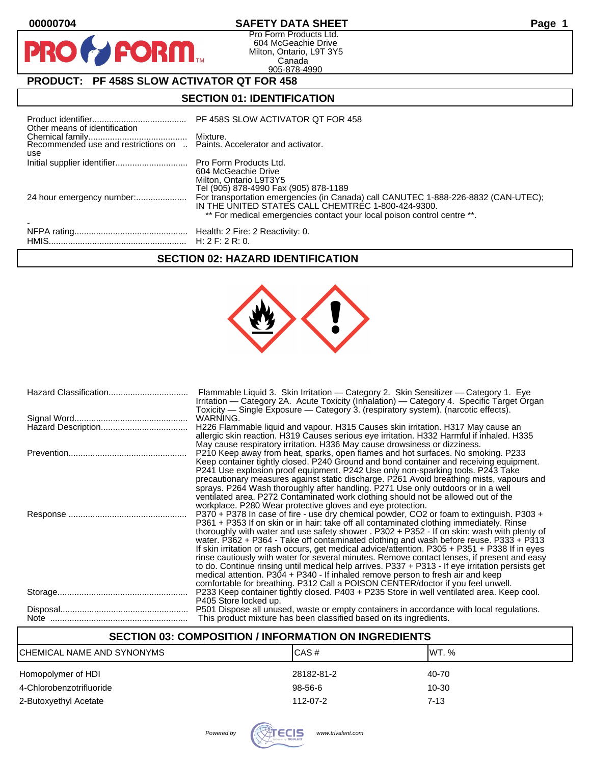$\mathbf O$ 

PR

## **00000704 SAFETY DATA SHEET Page 1**

Pro Form Products Ltd. 604 McGeachie Drive Milton, Ontario, L9T 3Y5 Canada 905-878-4990

# **PRODUCT: PF 458S SLOW ACTIVATOR QT FOR 458**

**FORM** 

## **SECTION 01: IDENTIFICATION**

| Other means of identification | PF 458S SLOW ACTIVATOR QT FOR 458                                                                                                                                                                                   |
|-------------------------------|---------------------------------------------------------------------------------------------------------------------------------------------------------------------------------------------------------------------|
| use                           |                                                                                                                                                                                                                     |
|                               | 604 McGeachie Drive<br>Milton, Ontario L9T3Y5<br>Tel (905) 878-4990 Fax (905) 878-1189                                                                                                                              |
| 24 hour emergency number:     | For transportation emergencies (in Canada) call CANUTEC 1-888-226-8832 (CAN-UTEC);<br>IN THE UNITED STATES CALL CHEMTREC 1-800-424-9300.<br>** For medical emergencies contact your local poison control centre **. |
|                               |                                                                                                                                                                                                                     |

## **SECTION 02: HAZARD IDENTIFICATION**



| Flammable Liquid 3. Skin Irritation - Category 2. Skin Sensitizer - Category 1. Eye<br>Irritation - Category 2A. Acute Toxicity (Inhalation) - Category 4. Specific Target Organ<br>Toxicity — Single Exposure — Category 3. (respiratory system). (narcotic effects).                                                                                                                                                                                                                                                                                                                                                                                                                                                                                                                                                                                   |
|----------------------------------------------------------------------------------------------------------------------------------------------------------------------------------------------------------------------------------------------------------------------------------------------------------------------------------------------------------------------------------------------------------------------------------------------------------------------------------------------------------------------------------------------------------------------------------------------------------------------------------------------------------------------------------------------------------------------------------------------------------------------------------------------------------------------------------------------------------|
| WARNING.                                                                                                                                                                                                                                                                                                                                                                                                                                                                                                                                                                                                                                                                                                                                                                                                                                                 |
| H226 Flammable liquid and vapour. H315 Causes skin irritation. H317 May cause an<br>allergic skin reaction. H319 Causes serious eye irritation. H332 Harmful if inhaled. H335<br>May cause respiratory irritation. H336 May cause drowsiness or dizziness.                                                                                                                                                                                                                                                                                                                                                                                                                                                                                                                                                                                               |
| P210 Keep away from heat, sparks, open flames and hot surfaces. No smoking. P233<br>Keep container tightly closed. P240 Ground and bond container and receiving equipment.<br>P241 Use explosion proof equipment. P242 Use only non-sparking tools. P243 Take<br>precautionary measures against static discharge. P261 Avoid breathing mists, vapours and<br>sprays. P264 Wash thoroughly after handling. P271 Use only outdoors or in a well<br>ventilated area. P272 Contaminated work clothing should not be allowed out of the<br>workplace. P280 Wear protective gloves and eye protection.                                                                                                                                                                                                                                                         |
| P370 + P378 In case of fire - use dry chemical powder, CO2 or foam to extinguish. P303 +<br>P361 + P353 If on skin or in hair: take off all contaminated clothing immediately. Rinse<br>thoroughly with water and use safety shower . P302 + P352 - If on skin: wash with plenty of<br>water. P362 + P364 - Take off contaminated clothing and wash before reuse. P333 + P313<br>If skin irritation or rash occurs, get medical advice/attention. P305 + P351 + P338 If in eyes<br>rinse cautiously with water for several minutes. Remove contact lenses, if present and easy<br>to do. Continue rinsing until medical help arrives. P337 + P313 - If eye irritation persists get<br>medical attention. P304 + P340 - If inhaled remove person to fresh air and keep<br>comfortable for breathing. P312 Call a POISON CENTER/doctor if you feel unwell. |
| P233 Keep container tightly closed. P403 + P235 Store in well ventilated area. Keep cool.<br>P405 Store locked up.                                                                                                                                                                                                                                                                                                                                                                                                                                                                                                                                                                                                                                                                                                                                       |
| P501 Dispose all unused, waste or empty containers in accordance with local regulations.<br>This product mixture has been classified based on its ingredients.                                                                                                                                                                                                                                                                                                                                                                                                                                                                                                                                                                                                                                                                                           |

## **SECTION 03: COMPOSITION / INFORMATION ON INGREDIENTS**

| CHEMICAL NAME AND SYNONYMS | CAS#       | IWT. %   |
|----------------------------|------------|----------|
| Homopolymer of HDI         | 28182-81-2 | 40-70    |
| 4-Chlorobenzotrifluoride   | 98-56-6    | 10-30    |
| 2-Butoxyethyl Acetate      | 112-07-2   | $7 - 13$ |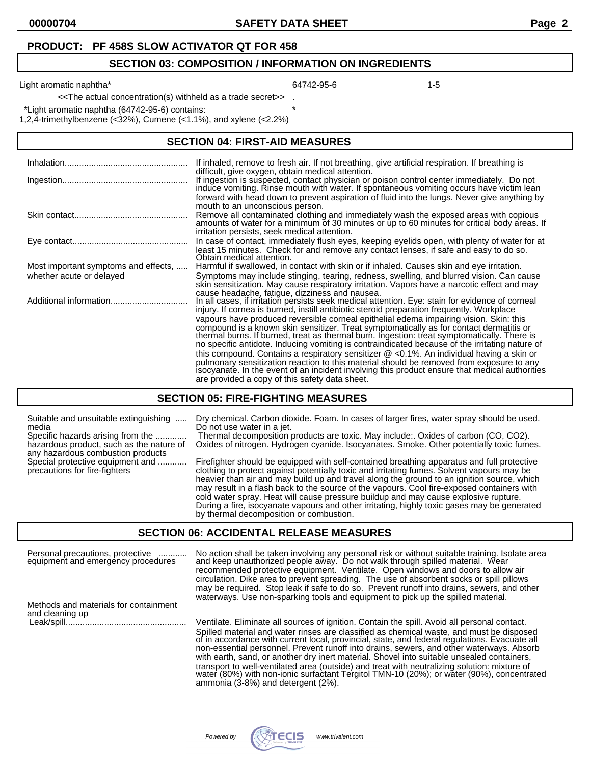#### **SECTION 03: COMPOSITION / INFORMATION ON INGREDIENTS**

Light aromatic naphtha\* 1-5

<<The actual concentration(s) withheld as a trade secret>> .

\*Light aromatic naphtha (64742-95-6) contains: \*

1,2,4-trimethylbenzene (<32%), Cumene (<1.1%), and xylene (<2.2%)

#### **SECTION 04: FIRST-AID MEASURES**

|                                      | If inhaled, remove to fresh air. If not breathing, give artificial respiration. If breathing is<br>difficult, give oxygen, obtain medical attention.                                                                                                                                                                                                                                                                                                  |
|--------------------------------------|-------------------------------------------------------------------------------------------------------------------------------------------------------------------------------------------------------------------------------------------------------------------------------------------------------------------------------------------------------------------------------------------------------------------------------------------------------|
|                                      | If ingestion is suspected, contact physician or poison control center immediately. Do not<br>induce vomiting. Rinse mouth with water. If spontaneous vomiting occurs have victim lean                                                                                                                                                                                                                                                                 |
|                                      | forward with head down to prevent aspiration of fluid into the lungs. Never give anything by<br>mouth to an unconscious person.                                                                                                                                                                                                                                                                                                                       |
|                                      | Remove all contaminated clothing and immediately wash the exposed areas with copious<br>amounts of water for a minimum of 30 minutes or up to 60 minutes for critical body areas. If<br>irritation persists, seek medical attention.                                                                                                                                                                                                                  |
|                                      | In case of contact, immediately flush eyes, keeping eyelids open, with plenty of water for at<br>least 15 minutes. Check for and remove any contact lenses, if safe and easy to do so.<br>Obtain medical attention.                                                                                                                                                                                                                                   |
| Most important symptoms and effects, | Harmful if swallowed, in contact with skin or if inhaled. Causes skin and eye irritation.                                                                                                                                                                                                                                                                                                                                                             |
| whether acute or delayed             | Symptoms may include stinging, tearing, redness, swelling, and blurred vision. Can cause<br>skin sensitization. May cause respiratory irritation. Vapors have a narcotic effect and may                                                                                                                                                                                                                                                               |
|                                      | cause headache, fatigue, dizziness and nausea.<br>In all cases, if irritation persists seek medical attention. Eye: stain for evidence of corneal<br>injury. If cornea is burned, instill antibiotic steroid preparation frequently. Workplace                                                                                                                                                                                                        |
|                                      | vapours have produced reversible corneal epithelial edema impairing vision. Skin: this<br>compound is a known skin sensitizer. Treat symptomatically as for contact dermatitis or<br>thermal burns. If burned, treat as thermal burn. Ingestion: treat symptomatically. There is                                                                                                                                                                      |
|                                      | no specific antidote. Inducing vomiting is contraindicated because of the irritating nature of<br>this compound. Contains a respiratory sensitizer $\mathcal Q$ <0.1%. An individual having a skin or<br>pulmonary sensitization reaction to this material should be removed from exposure to any<br>isocyanate. In the event of an incident involving this product ensure that medical authorities<br>are provided a copy of this safety data sheet. |

#### **SECTION 05: FIRE-FIGHTING MEASURES**

| Suitable and unsuitable extinguishing                                                                  | Dry chemical. Carbon dioxide. Foam. In cases of larger fires, water spray should be used.                                                                                                                                                                                                                                                                                                                                                                                                                                                                                                                             |
|--------------------------------------------------------------------------------------------------------|-----------------------------------------------------------------------------------------------------------------------------------------------------------------------------------------------------------------------------------------------------------------------------------------------------------------------------------------------------------------------------------------------------------------------------------------------------------------------------------------------------------------------------------------------------------------------------------------------------------------------|
| media                                                                                                  | Do not use water in a jet.                                                                                                                                                                                                                                                                                                                                                                                                                                                                                                                                                                                            |
| Specific hazards arising from the                                                                      | Thermal decomposition products are toxic. May include: Oxides of carbon (CO, CO2).                                                                                                                                                                                                                                                                                                                                                                                                                                                                                                                                    |
| hazardous product, such as the nature of                                                               | Oxides of nitrogen. Hydrogen cyanide. Isocyanates. Smoke. Other potentially toxic fumes.                                                                                                                                                                                                                                                                                                                                                                                                                                                                                                                              |
| any hazardous combustion products<br>Special protective equipment and<br>precautions for fire-fighters | Firefighter should be equipped with self-contained breathing apparatus and full protective<br>clothing to protect against potentially toxic and irritating fumes. Solvent vapours may be<br>heavier than air and may build up and travel along the ground to an ignition source, which<br>may result in a flash back to the source of the vapours. Cool fire-exposed containers with<br>cold water spray. Heat will cause pressure buildup and may cause explosive rupture.<br>During a fire, isocyanate vapours and other irritating, highly toxic gases may be generated<br>by thermal decomposition or combustion. |

#### **SECTION 06: ACCIDENTAL RELEASE MEASURES**

| Personal precautions, protective<br>equipment and emergency procedures | No action shall be taken involving any personal risk or without suitable training. Isolate area and keep unauthorized people away. Do not walk through spilled material. Wear<br>recommended protective equipment. Ventilate. Open windows and doors to allow air<br>circulation. Dike area to prevent spreading. The use of absorbent socks or spill pillows |  |  |
|------------------------------------------------------------------------|---------------------------------------------------------------------------------------------------------------------------------------------------------------------------------------------------------------------------------------------------------------------------------------------------------------------------------------------------------------|--|--|
| Methods and materials for containment                                  | may be required. Stop leak if safe to do so. Prevent runoff into drains, sewers, and other<br>waterways. Use non-sparking tools and equipment to pick up the spilled material.                                                                                                                                                                                |  |  |
| and cleaning up                                                        | Ventilate. Eliminate all sources of ignition. Contain the spill. Avoid all personal contact.                                                                                                                                                                                                                                                                  |  |  |

Spilled material and water rinses are classified as chemical waste, and must be disposed of in accordance with current local, provincial, state, and federal regulations. Evacuate all non-essential personnel. Prevent runoff into drains, sewers, and other waterways. Absorb with earth, sand, or another dry inert material. Shovel into suitable unsealed containers, transport to well-ventilated area (outside) and treat with neutralizing solution: mixture of water (80%) with non-ionic surfactant Tergitol TMN-10 (20%); or water (90%), concentrated ammonia (3-8%) and detergent (2%).

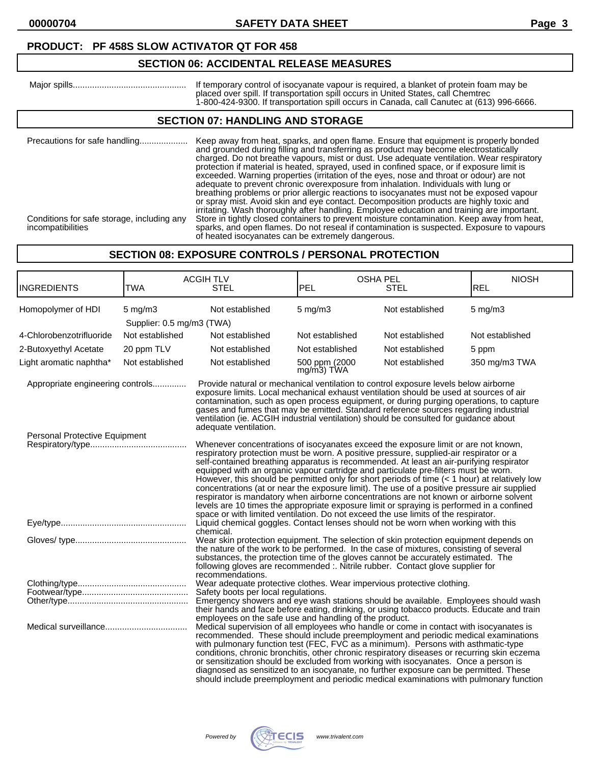### **PRODUCT: PF 458S SLOW ACTIVATOR QT FOR 458**

## **SECTION 06: ACCIDENTAL RELEASE MEASURES**

| Maior spills | If temporary control of isocyanate vapour is required, a blanket of protein foam may be   |
|--------------|-------------------------------------------------------------------------------------------|
|              | placed over spill. If transportation spill occurs in United States. call Chemtrec         |
|              | 1-800-424-9300. If transportation spill occurs in Canada, call Canutec at (613) 996-6666. |

### **SECTION 07: HANDLING AND STORAGE**

| Precautions for safe handling<br>Conditions for safe storage, including any<br>incompatibilities | Keep away from heat, sparks, and open flame. Ensure that equipment is properly bonded<br>and grounded during filling and transferring as product may become electrostatically<br>charged. Do not breathe vapours, mist or dust. Use adequate ventilation. Wear respiratory<br>protection if material is heated, sprayed, used in confined space, or if exposure limit is<br>exceeded. Warning properties (irritation of the eyes, nose and throat or odour) are not<br>adequate to prevent chronic overexposure from inhalation. Individuals with lung or<br>breathing problems or prior allergic reactions to isocyanates must not be exposed vapour<br>or spray mist. Avoid skin and eye contact. Decomposition products are highly toxic and<br>irritating. Wash thoroughly after handling. Employee education and training are important.<br>Store in tightly closed containers to prevent moisture contamination. Keep away from heat,<br>sparks, and open flames. Do not reseal if contamination is suspected. Exposure to vapours |
|--------------------------------------------------------------------------------------------------|------------------------------------------------------------------------------------------------------------------------------------------------------------------------------------------------------------------------------------------------------------------------------------------------------------------------------------------------------------------------------------------------------------------------------------------------------------------------------------------------------------------------------------------------------------------------------------------------------------------------------------------------------------------------------------------------------------------------------------------------------------------------------------------------------------------------------------------------------------------------------------------------------------------------------------------------------------------------------------------------------------------------------------------|
|                                                                                                  | of heated isocyanates can be extremely dangerous.                                                                                                                                                                                                                                                                                                                                                                                                                                                                                                                                                                                                                                                                                                                                                                                                                                                                                                                                                                                        |

## **SECTION 08: EXPOSURE CONTROLS / PERSONAL PROTECTION**

| <b>INGREDIENTS</b>               | <b>TWA</b>                | <b>ACGIH TLV</b><br><b>STEL</b>                                                                                                                                                                                                                                                                                                                                                                                                                                                                                                                                                                                                                                                                                                                                                                                                             | PEL                            | <b>OSHA PEL</b><br><b>STEL</b> | <b>NIOSH</b><br>REL |
|----------------------------------|---------------------------|---------------------------------------------------------------------------------------------------------------------------------------------------------------------------------------------------------------------------------------------------------------------------------------------------------------------------------------------------------------------------------------------------------------------------------------------------------------------------------------------------------------------------------------------------------------------------------------------------------------------------------------------------------------------------------------------------------------------------------------------------------------------------------------------------------------------------------------------|--------------------------------|--------------------------------|---------------------|
| Homopolymer of HDI               | $5 \text{ mg/m}$          | Not established                                                                                                                                                                                                                                                                                                                                                                                                                                                                                                                                                                                                                                                                                                                                                                                                                             | $5$ mg/m $3$                   | Not established                | $5 \text{ mg/m}$    |
|                                  | Supplier: 0.5 mg/m3 (TWA) |                                                                                                                                                                                                                                                                                                                                                                                                                                                                                                                                                                                                                                                                                                                                                                                                                                             |                                |                                |                     |
| 4-Chlorobenzotrifluoride         | Not established           | Not established                                                                                                                                                                                                                                                                                                                                                                                                                                                                                                                                                                                                                                                                                                                                                                                                                             | Not established                | Not established                | Not established     |
| 2-Butoxyethyl Acetate            | 20 ppm TLV                | Not established                                                                                                                                                                                                                                                                                                                                                                                                                                                                                                                                                                                                                                                                                                                                                                                                                             | Not established                | Not established                | 5 ppm               |
| Light aromatic naphtha*          | Not established           | Not established                                                                                                                                                                                                                                                                                                                                                                                                                                                                                                                                                                                                                                                                                                                                                                                                                             | 500 ppm (2000<br>$mg/m3$ ) TWA | Not established                | 350 mg/m3 TWA       |
| Appropriate engineering controls |                           | Provide natural or mechanical ventilation to control exposure levels below airborne<br>exposure limits. Local mechanical exhaust ventilation should be used at sources of air<br>contamination, such as open process equipment, or during purging operations, to capture<br>gases and fumes that may be emitted. Standard reference sources regarding industrial<br>ventilation (ie. ACGIH industrial ventilation) should be consulted for guidance about<br>adequate ventilation.                                                                                                                                                                                                                                                                                                                                                          |                                |                                |                     |
| Personal Protective Equipment    |                           | Whenever concentrations of isocyanates exceed the exposure limit or are not known,<br>respiratory protection must be worn. A positive pressure, supplied-air respirator or a<br>self-contained breathing apparatus is recommended. At least an air-purifying respirator<br>equipped with an organic vapour cartridge and particulate pre-filters must be worn.<br>However, this should be permitted only for short periods of time (< 1 hour) at relatively low<br>concentrations (at or near the exposure limit). The use of a positive pressure air supplied<br>respirator is mandatory when airborne concentrations are not known or airborne solvent<br>levels are 10 times the appropriate exposure limit or spraying is performed in a confined<br>space or with limited ventilation. Do not exceed the use limits of the respirator. |                                |                                |                     |
|                                  |                           | Liquid chemical goggles. Contact lenses should not be worn when working with this<br>chemical.                                                                                                                                                                                                                                                                                                                                                                                                                                                                                                                                                                                                                                                                                                                                              |                                |                                |                     |
|                                  |                           | Wear skin protection equipment. The selection of skin protection equipment depends on<br>the nature of the work to be performed. In the case of mixtures, consisting of several<br>substances, the protection time of the gloves cannot be accurately estimated. The<br>following gloves are recommended :. Nitrile rubber. Contact glove supplier for<br>recommendations.                                                                                                                                                                                                                                                                                                                                                                                                                                                                  |                                |                                |                     |
|                                  |                           | Wear adequate protective clothes. Wear impervious protective clothing.<br>Safety boots per local regulations.<br>Emergency showers and eye wash stations should be available. Employees should wash<br>their hands and face before eating, drinking, or using tobacco products. Educate and train<br>employees on the safe use and handling of the product.                                                                                                                                                                                                                                                                                                                                                                                                                                                                                 |                                |                                |                     |
|                                  |                           | Medical supervision of all employees who handle or come in contact with isocyanates is<br>recommended. These should include preemployment and periodic medical examinations<br>with pulmonary function test (FEC, FVC as a minimum). Persons with asthmatic-type<br>conditions, chronic bronchitis, other chronic respiratory diseases or recurring skin eczema<br>or sensitization should be excluded from working with isocyanates. Once a person is<br>diagnosed as sensitized to an isocyanate, no further exposure can be permitted. These<br>should include preemployment and periodic medical examinations with pulmonary function                                                                                                                                                                                                   |                                |                                |                     |

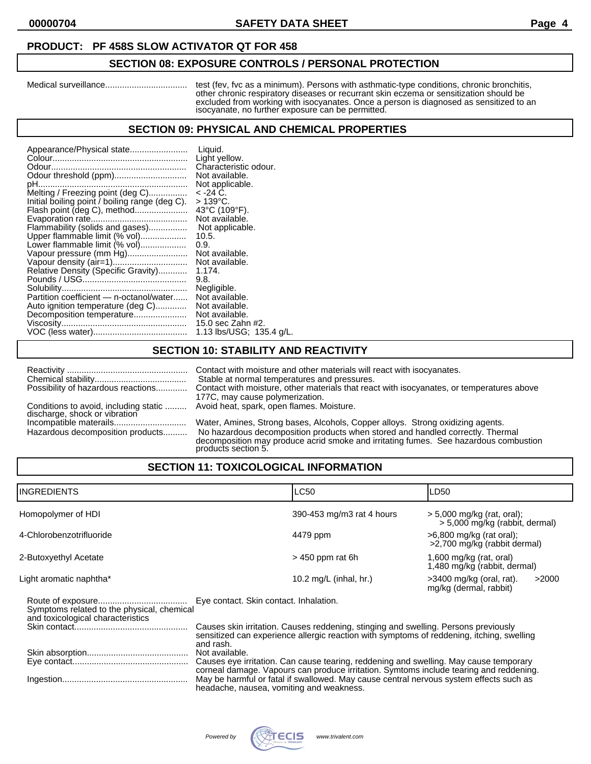#### **PRODUCT: PF 458S SLOW ACTIVATOR QT FOR 458**

### **SECTION 08: EXPOSURE CONTROLS / PERSONAL PROTECTION**

Medical surveillance.................................. test (fev, fvc as a minimum). Persons with asthmatic-type conditions, chronic bronchitis, other chronic respiratory diseases or recurrant skin eczema or sensitization should be excluded from working with isocyanates. Once a person is diagnosed as sensitized to an isocyanate, no further exposure can be permitted.

#### **SECTION 09: PHYSICAL AND CHEMICAL PROPERTIES**

## **SECTION 10: STABILITY AND REACTIVITY**

| Possibility of hazardous reactions                                     | Contact with moisture and other materials will react with isocyanates.<br>Stable at normal temperatures and pressures.<br>Contact with moisture, other materials that react with isocyanates, or temperatures above<br>177C, may cause polymerization.                          |
|------------------------------------------------------------------------|---------------------------------------------------------------------------------------------------------------------------------------------------------------------------------------------------------------------------------------------------------------------------------|
| Conditions to avoid, including static<br>discharge, shock or vibration | Avoid heat, spark, open flames. Moisture.                                                                                                                                                                                                                                       |
| Hazardous decomposition products                                       | Water, Amines, Strong bases, Alcohols, Copper alloys. Strong oxidizing agents.<br>No hazardous decomposition products when stored and handled correctly. Thermal<br>decomposition may produce acrid smoke and irritating fumes. See hazardous combustion<br>products section 5. |

## **SECTION 11: TOXICOLOGICAL INFORMATION**

| IINGREDIENTS                                                                    | <b>LC50</b>                                                                                                                                                                                                                             | LD50                                                           |  |
|---------------------------------------------------------------------------------|-----------------------------------------------------------------------------------------------------------------------------------------------------------------------------------------------------------------------------------------|----------------------------------------------------------------|--|
| Homopolymer of HDI                                                              | 390-453 mg/m3 rat 4 hours                                                                                                                                                                                                               | $>$ 5,000 mg/kg (rat, oral);<br>> 5,000 mg/kg (rabbit, dermal) |  |
| 4-Chlorobenzotrifluoride                                                        | 4479 ppm                                                                                                                                                                                                                                | $>6,800$ mg/kg (rat oral);<br>>2,700 mg/kg (rabbit dermal)     |  |
| 2-Butoxyethyl Acetate                                                           | $>$ 450 ppm rat 6h                                                                                                                                                                                                                      | 1,600 mg/kg (rat, oral)<br>1,480 mg/kg (rabbit, dermal)        |  |
| Light aromatic naphtha*                                                         | 10.2 mg/L (inhal, hr.)                                                                                                                                                                                                                  | >2000<br>$>3400$ mg/kg (oral, rat).<br>mg/kg (dermal, rabbit)  |  |
| Symptoms related to the physical, chemical<br>and toxicological characteristics | Eye contact. Skin contact. Inhalation.<br>Causes skin irritation. Causes reddening, stinging and swelling. Persons previously<br>sensitized can experience allergic reaction with symptoms of reddening, itching, swelling<br>and rash. |                                                                |  |
|                                                                                 | Not available.<br>Causes eye irritation. Can cause tearing, reddening and swelling. May cause temporary                                                                                                                                 |                                                                |  |

corneal damage. Vapours can produce irritation. Symtoms include tearing and reddening. Ingestion.................................................... May be harmful or fatal if swallowed. May cause central nervous system effects such as headache, nausea, vomiting and weakness.

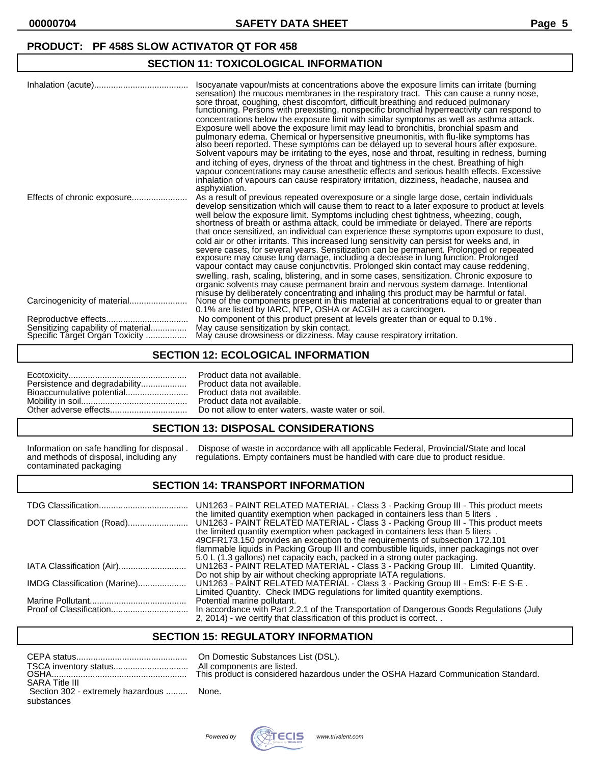#### **PRODUCT: PF 458S SLOW ACTIVATOR QT FOR 458**

## **SECTION 11: TOXICOLOGICAL INFORMATION**

|                                                                      | Isocyanate vapour/mists at concentrations above the exposure limits can irritate (burning<br>sensation) the mucous membranes in the respiratory tract. This can cause a runny nose,<br>sore throat, coughing, chest discomfort, difficult breathing and reduced pulmonary<br>functioning. Persons with preexisting, nonspecific bronchial hyperreactivity can respond to<br>concentrations below the exposure limit with similar symptoms as well as asthma attack.<br>Exposure well above the exposure limit may lead to bronchitis, bronchial spasm and<br>pulmonary edema. Chemical or hypersensitive pneumonitis, with flu-like symptoms has<br>also been reported. These symptoms can be delayed up to several hours after exposure.<br>Solvent vapours may be irritating to the eyes, nose and throat, resulting in redness, burning<br>and itching of eyes, dryness of the throat and tightness in the chest. Breathing of high<br>vapour concentrations may cause anesthetic effects and serious health effects. Excessive<br>inhalation of vapours can cause respiratory irritation, dizziness, headache, nausea and<br>asphyxiation. |
|----------------------------------------------------------------------|------------------------------------------------------------------------------------------------------------------------------------------------------------------------------------------------------------------------------------------------------------------------------------------------------------------------------------------------------------------------------------------------------------------------------------------------------------------------------------------------------------------------------------------------------------------------------------------------------------------------------------------------------------------------------------------------------------------------------------------------------------------------------------------------------------------------------------------------------------------------------------------------------------------------------------------------------------------------------------------------------------------------------------------------------------------------------------------------------------------------------------------------|
| Effects of chronic exposure                                          | As a result of previous repeated overexposure or a single large dose, certain individuals<br>develop sensitization which will cause them to react to a later exposure to product at levels<br>well below the exposure limit. Symptoms including chest tightness, wheezing, cough,<br>shortness of breath or asthma attack, could be immediate or delayed. There are reports<br>that once sensitized, an individual can experience these symptoms upon exposure to dust,<br>cold air or other irritants. This increased lung sensitivity can persist for weeks and, in<br>severe cases, for several years. Sensitization can be permanent. Prolonged or repeated<br>exposure may cause lung damage, including a decrease in lung function. Prolonged<br>vapour contact may cause conjunctivitis. Prolonged skin contact may cause reddening,<br>swelling, rash, scaling, blistering, and in some cases, sensitization. Chronic exposure to<br>organic solvents may cause permanent brain and nervous system damage. Intentional                                                                                                                 |
|                                                                      | misuse by deliberately concentrating and inhaling this product may be harmful or fatal.<br>None of the components present in this material at concentrations equal to or greater than<br>0.1% are listed by IARC, NTP, OSHA or ACGIH as a carcinogen.                                                                                                                                                                                                                                                                                                                                                                                                                                                                                                                                                                                                                                                                                                                                                                                                                                                                                          |
| Sensitizing capability of material<br>Specific Target Organ Toxicity | No component of this product present at levels greater than or equal to 0.1%.<br>May cause sensitization by skin contact.<br>May cause drowsiness or dizziness. May cause respiratory irritation.                                                                                                                                                                                                                                                                                                                                                                                                                                                                                                                                                                                                                                                                                                                                                                                                                                                                                                                                              |

### **SECTION 12: ECOLOGICAL INFORMATION**

| Persistence and degradability |  |
|-------------------------------|--|
| Bioaccumulative potential     |  |
|                               |  |
|                               |  |

Product data not available. Product data not available. Product data not available. Product data not available. Do not allow to enter waters, waste water or soil.

#### **SECTION 13: DISPOSAL CONSIDERATIONS**

contaminated packaging

Information on safe handling for disposal . Dispose of waste in accordance with all applicable Federal, Provincial/State and local and methods of disposal, including any regulations. Empty containers must be handled with c regulations. Empty containers must be handled with care due to product residue.

#### **SECTION 14: TRANSPORT INFORMATION**

|                              | UN1263 - PAINT RELATED MATERIAL - Class 3 - Packing Group III - This product meets<br>the limited quantity exemption when packaged in containers less than 5 liters. |
|------------------------------|----------------------------------------------------------------------------------------------------------------------------------------------------------------------|
|                              | UN1263 - PAINT RELATED MATERIAL - Class 3 - Packing Group III - This product meets<br>the limited quantity exemption when packaged in containers less than 5 liters  |
|                              | 49CFR173.150 provides an exception to the requirements of subsection 172.101                                                                                         |
|                              | flammable liquids in Packing Group III and combustible liquids, inner packagings not over                                                                            |
|                              | 5.0 L (1.3 gallons) net capacity each, packed in a strong outer packaging.                                                                                           |
| IATA Classification (Air)    | UN1263 - PAINT RELATED MATERIAL - Class 3 - Packing Group III. Limited Quantity.                                                                                     |
|                              | Do not ship by air without checking appropriate IATA regulations.                                                                                                    |
| IMDG Classification (Marine) | UN1263 - PAINT RELATED MATERIAL - Class 3 - Packing Group III - EmS: F-E S-E.                                                                                        |
|                              | Limited Quantity. Check IMDG regulations for limited quantity exemptions.                                                                                            |
|                              | Potential marine pollutant.                                                                                                                                          |
|                              | In accordance with Part 2.2.1 of the Transportation of Dangerous Goods Regulations (July                                                                             |
|                              | 2, 2014) - we certify that classification of this product is correct. .                                                                                              |

# **SECTION 15: REGULATORY INFORMATION**

|                                          | All con |
|------------------------------------------|---------|
| <b>SARA Title III</b>                    |         |
| Section 302 - extremely hazardous  None. |         |
| substances                               |         |

In Domestic Substances List (DSL). Il components are listed. his product is considered hazardous under the OSHA Hazard Communication Standard.